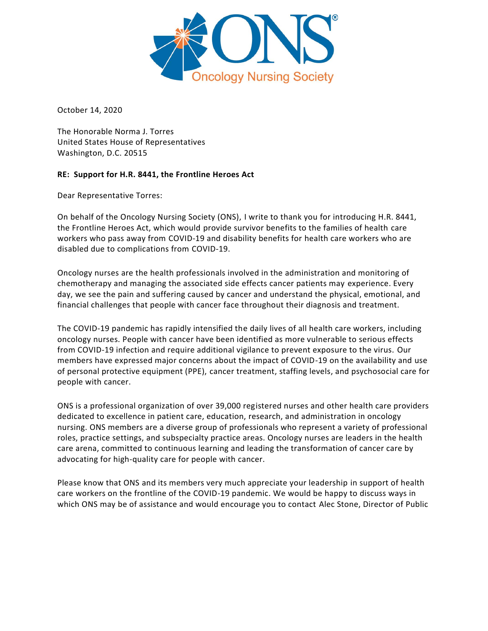

October 14, 2020

The Honorable Norma J. Torres United States House of Representatives Washington, D.C. 20515

## **RE: Support for H.R. 8441, the Frontline Heroes Act**

Dear Representative Torres:

On behalf of the Oncology Nursing Society (ONS), I write to thank you for introducing H.R. 8441, the Frontline Heroes Act, which would provide survivor benefits to the families of health care workers who pass away from COVID-19 and disability benefits for health care workers who are disabled due to complications from COVID-19.

Oncology nurses are the health professionals involved in the administration and monitoring of chemotherapy and managing the associated side effects cancer patients may experience. Every day, we see the pain and suffering caused by cancer and understand the physical, emotional, and financial challenges that people with cancer face throughout their diagnosis and treatment.

The COVID-19 pandemic has rapidly intensified the daily lives of all health care workers, including oncology nurses. People with cancer have been identified as more vulnerable to serious effects from COVID-19 infection and require additional vigilance to prevent exposure to the virus. Our members have expressed major concerns about the impact of COVID-19 on the availability and use of personal protective equipment (PPE), cancer treatment, staffing levels, and psychosocial care for people with cancer.

ONS is a professional organization of over 39,000 registered nurses and other health care providers dedicated to excellence in patient care, education, research, and administration in oncology nursing. ONS members are a diverse group of professionals who represent a variety of professional roles, practice settings, and subspecialty practice areas. Oncology nurses are leaders in the health care arena, committed to continuous learning and leading the transformation of cancer care by advocating for high-quality care for people with cancer.

Please know that ONS and its members very much appreciate your leadership in support of health care workers on the frontline of the COVID-19 pandemic. We would be happy to discuss ways in which ONS may be of assistance and would encourage you to contact Alec Stone, Director of Public